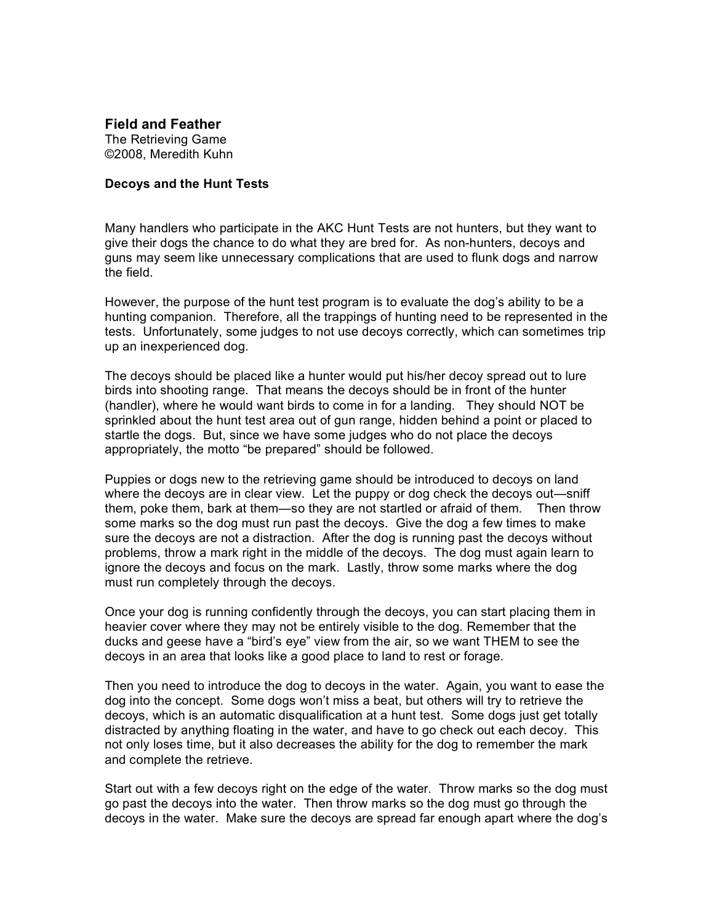**Field and Feather** The Retrieving Game ©2008, Meredith Kuhn

## **Decoys and the Hunt Tests**

Many handlers who participate in the AKC Hunt Tests are not hunters, but they want to give their dogs the chance to do what they are bred for. As non-hunters, decoys and guns may seem like unnecessary complications that are used to flunk dogs and narrow the field.

However, the purpose of the hunt test program is to evaluate the dog's ability to be a hunting companion. Therefore, all the trappings of hunting need to be represented in the tests. Unfortunately, some judges to not use decoys correctly, which can sometimes trip up an inexperienced dog.

The decoys should be placed like a hunter would put his/her decoy spread out to lure birds into shooting range. That means the decoys should be in front of the hunter (handler), where he would want birds to come in for a landing. They should NOT be sprinkled about the hunt test area out of gun range, hidden behind a point or placed to startle the dogs. But, since we have some judges who do not place the decoys appropriately, the motto "be prepared" should be followed.

Puppies or dogs new to the retrieving game should be introduced to decoys on land where the decoys are in clear view. Let the puppy or dog check the decoys out—sniff them, poke them, bark at them—so they are not startled or afraid of them. Then throw some marks so the dog must run past the decoys. Give the dog a few times to make sure the decoys are not a distraction. After the dog is running past the decoys without problems, throw a mark right in the middle of the decoys. The dog must again learn to ignore the decoys and focus on the mark. Lastly, throw some marks where the dog must run completely through the decoys.

Once your dog is running confidently through the decoys, you can start placing them in heavier cover where they may not be entirely visible to the dog. Remember that the ducks and geese have a "bird's eye" view from the air, so we want THEM to see the decoys in an area that looks like a good place to land to rest or forage.

Then you need to introduce the dog to decoys in the water. Again, you want to ease the dog into the concept. Some dogs won't miss a beat, but others will try to retrieve the decoys, which is an automatic disqualification at a hunt test. Some dogs just get totally distracted by anything floating in the water, and have to go check out each decoy. This not only loses time, but it also decreases the ability for the dog to remember the mark and complete the retrieve.

Start out with a few decoys right on the edge of the water. Throw marks so the dog must go past the decoys into the water. Then throw marks so the dog must go through the decoys in the water. Make sure the decoys are spread far enough apart where the dog's